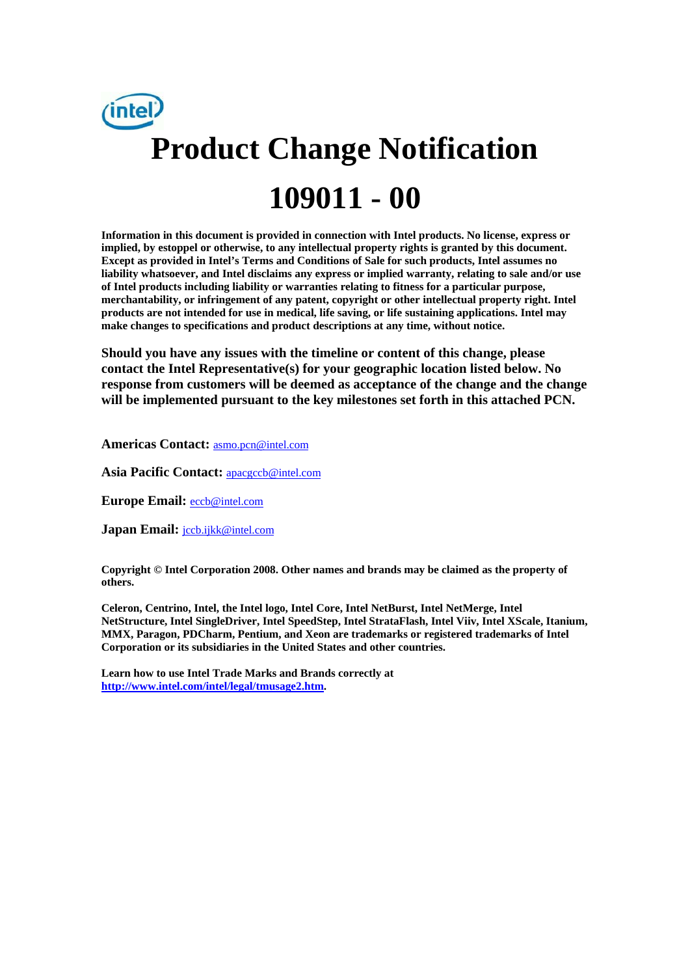

**Information in this document is provided in connection with Intel products. No license, express or implied, by estoppel or otherwise, to any intellectual property rights is granted by this document. Except as provided in Intel's Terms and Conditions of Sale for such products, Intel assumes no liability whatsoever, and Intel disclaims any express or implied warranty, relating to sale and/or use of Intel products including liability or warranties relating to fitness for a particular purpose, merchantability, or infringement of any patent, copyright or other intellectual property right. Intel products are not intended for use in medical, life saving, or life sustaining applications. Intel may make changes to specifications and product descriptions at any time, without notice.** 

**Should you have any issues with the timeline or content of this change, please contact the Intel Representative(s) for your geographic location listed below. No response from customers will be deemed as acceptance of the change and the change will be implemented pursuant to the key milestones set forth in this attached PCN.** 

**Americas Contact:** asmo.pcn@intel.com

Asia Pacific Contact: **apacgccb@intel.com** 

**Europe Email:** eccb@intel.com

**Japan Email:** jccb.ijkk@intel.com

**Copyright © Intel Corporation 2008. Other names and brands may be claimed as the property of others.**

**Celeron, Centrino, Intel, the Intel logo, Intel Core, Intel NetBurst, Intel NetMerge, Intel NetStructure, Intel SingleDriver, Intel SpeedStep, Intel StrataFlash, Intel Viiv, Intel XScale, Itanium, MMX, Paragon, PDCharm, Pentium, and Xeon are trademarks or registered trademarks of Intel Corporation or its subsidiaries in the United States and other countries.** 

**Learn how to use Intel Trade Marks and Brands correctly at http://www.intel.com/intel/legal/tmusage2.htm.**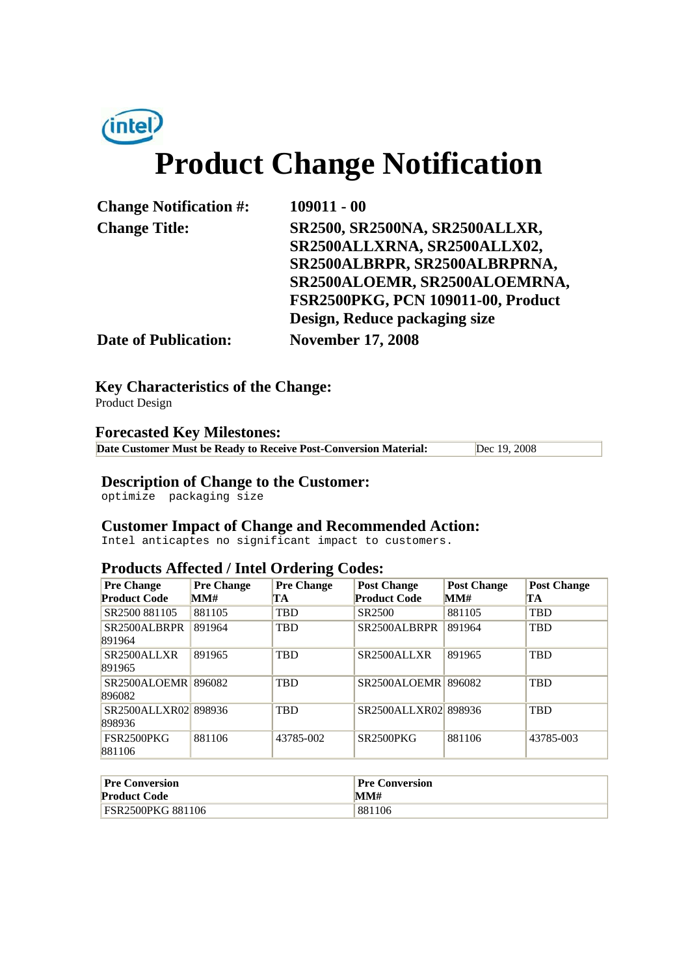

# **Product Change Notification**

**Change Notification #: 109011 - 00** 

**Change Title: SR2500, SR2500NA, SR2500ALLXR, SR2500ALLXRNA, SR2500ALLX02, SR2500ALBRPR, SR2500ALBRPRNA, SR2500ALOEMR, SR2500ALOEMRNA, FSR2500PKG, PCN 109011-00, Product Design, Reduce packaging size**

**Date of Publication: November 17, 2008**

**Key Characteristics of the Change:**

Product Design

#### **Forecasted Key Milestones:**

**Date Customer Must be Ready to Receive Post-Conversion Material:** Dec 19, 2008

## **Description of Change to the Customer:**

optimize packaging size

### **Customer Impact of Change and Recommended Action:**

Intel anticaptes no significant impact to customers.

#### **Products Affected / Intel Ordering Codes:**

| <b>Pre Change</b><br><b>Product Code</b> | <b>Pre Change</b><br>MM# | <b>Pre Change</b><br>TA | <b>Post Change</b><br><b>Product Code</b> | <b>Post Change</b><br>MM# | <b>Post Change</b><br>TA |
|------------------------------------------|--------------------------|-------------------------|-------------------------------------------|---------------------------|--------------------------|
| SR2500 881105                            | 881105                   | <b>TBD</b>              | SR2500                                    | 881105                    | <b>TBD</b>               |
| SR2500ALBRPR<br>891964                   | 891964                   | <b>TBD</b>              | SR2500ALBRPR                              | 891964                    | <b>TBD</b>               |
| SR <sub>2500</sub> ALLXR<br>891965       | 891965                   | <b>TBD</b>              | SR2500ALLXR                               | 891965                    | <b>TBD</b>               |
| SR2500ALOEMR 896082<br>896082            |                          | <b>TBD</b>              | SR2500ALOEMR                              | 896082                    | <b>TBD</b>               |
| SR2500ALLXR02 898936<br>898936           |                          | <b>TBD</b>              | SR2500ALLXR02 898936                      |                           | <b>TBD</b>               |
| FSR2500PKG<br>881106                     | 881106                   | 43785-002               | <b>SR2500PKG</b>                          | 881106                    | 43785-003                |

| <b>Pre Conversion</b>    | Pre Conversion |
|--------------------------|----------------|
| <b>Product Code</b>      | MM#            |
| <b>FSR2500PKG 881106</b> | 881106         |